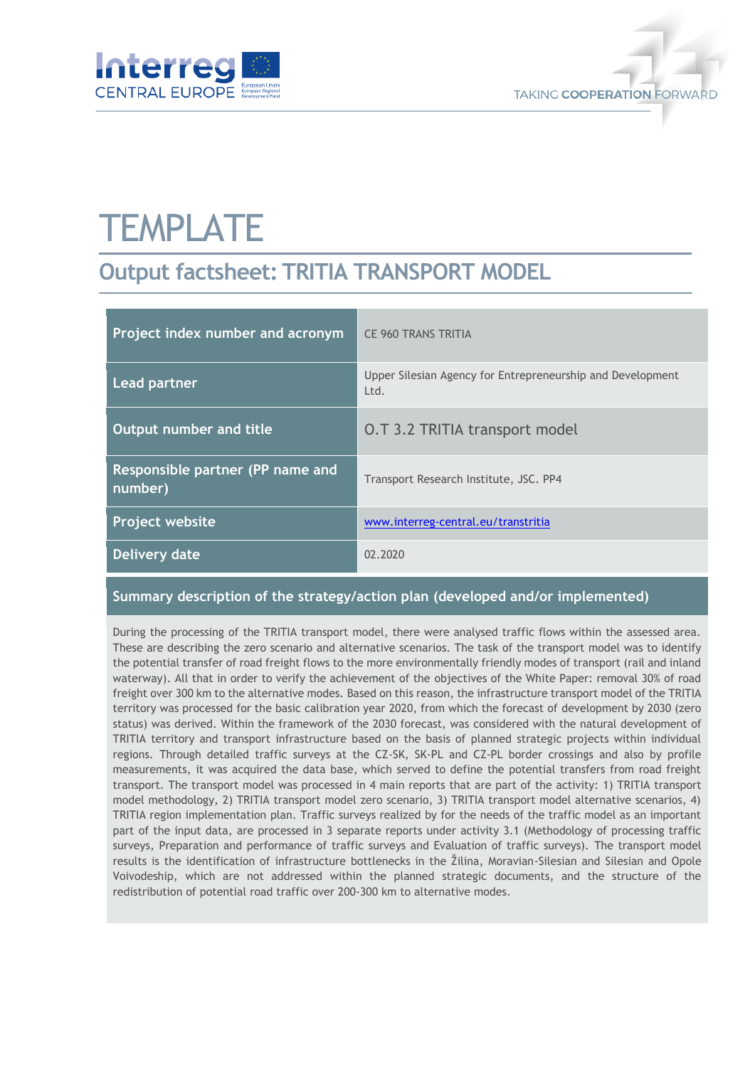



# **TEMPLATE**

## **Output factsheet: TRITIA TRANSPORT MODEL**

| Project index number and acronym            | <b>CE 960 TRANS TRITIA</b>                                         |
|---------------------------------------------|--------------------------------------------------------------------|
| <b>Lead partner</b>                         | Upper Silesian Agency for Entrepreneurship and Development<br>Ltd. |
| Output number and title                     | <b>O.T 3.2 TRITIA transport model</b>                              |
| Responsible partner (PP name and<br>number) | Transport Research Institute, JSC. PP4                             |
| Project website                             | www.interreg-central.eu/transtritia                                |
| Delivery date                               | 02.2020                                                            |

#### **Summary description of the strategy/action plan (developed and/or implemented)**

During the processing of the TRITIA transport model, there were analysed traffic flows within the assessed area. These are describing the zero scenario and alternative scenarios. The task of the transport model was to identify the potential transfer of road freight flows to the more environmentally friendly modes of transport (rail and inland waterway). All that in order to verify the achievement of the objectives of the White Paper: removal 30% of road freight over 300 km to the alternative modes. Based on this reason, the infrastructure transport model of the TRITIA territory was processed for the basic calibration year 2020, from which the forecast of development by 2030 (zero status) was derived. Within the framework of the 2030 forecast, was considered with the natural development of TRITIA territory and transport infrastructure based on the basis of planned strategic projects within individual regions. Through detailed traffic surveys at the CZ-SK, SK-PL and CZ-PL border crossings and also by profile measurements, it was acquired the data base, which served to define the potential transfers from road freight transport. The transport model was processed in 4 main reports that are part of the activity: 1) TRITIA transport model methodology, 2) TRITIA transport model zero scenario, 3) TRITIA transport model alternative scenarios, 4) TRITIA region implementation plan. Traffic surveys realized by for the needs of the traffic model as an important part of the input data, are processed in 3 separate reports under activity 3.1 (Methodology of processing traffic surveys, Preparation and performance of traffic surveys and Evaluation of traffic surveys). The transport model results is the identification of infrastructure bottlenecks in the Žilina, Moravian-Silesian and Silesian and Opole Voivodeship, which are not addressed within the planned strategic documents, and the structure of the redistribution of potential road traffic over 200-300 km to alternative modes.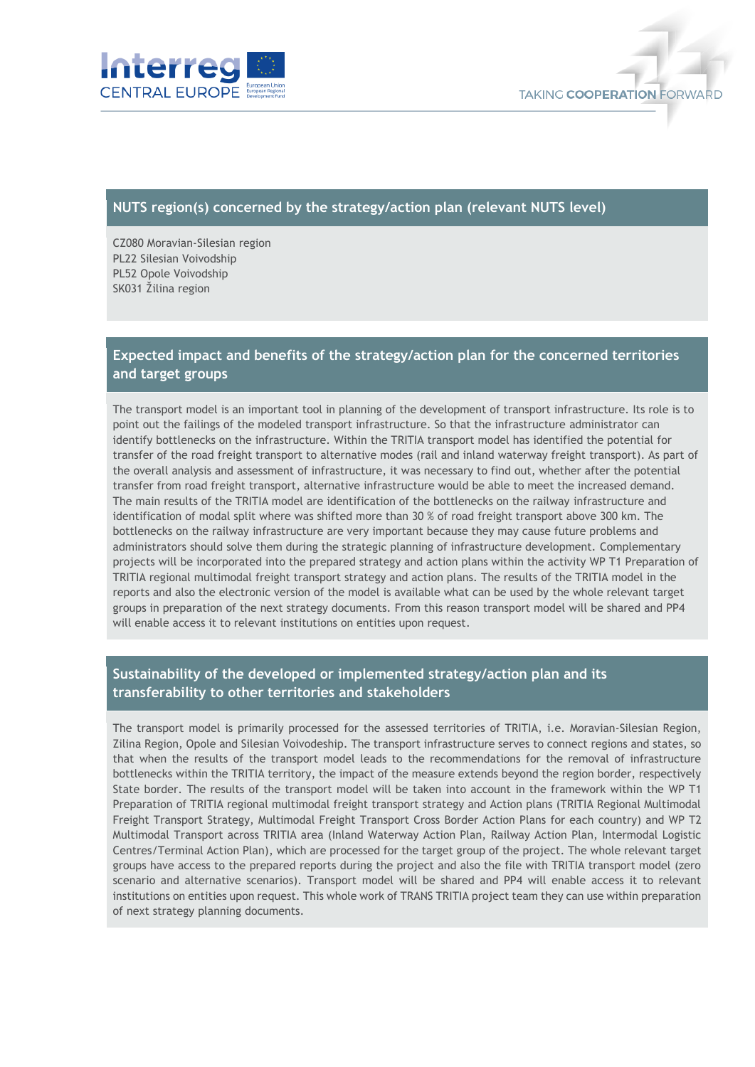



#### **NUTS region(s) concerned by the strategy/action plan (relevant NUTS level)**

CZ080 Moravian-Silesian region PL22 Silesian Voivodship PL52 Opole Voivodship SK031 Žilina region

#### **Expected impact and benefits of the strategy/action plan for the concerned territories and target groups**

The transport model is an important tool in planning of the development of transport infrastructure. Its role is to point out the failings of the modeled transport infrastructure. So that the infrastructure administrator can identify bottlenecks on the infrastructure. Within the TRITIA transport model has identified the potential for transfer of the road freight transport to alternative modes (rail and inland waterway freight transport). As part of the overall analysis and assessment of infrastructure, it was necessary to find out, whether after the potential transfer from road freight transport, alternative infrastructure would be able to meet the increased demand. The main results of the TRITIA model are identification of the bottlenecks on the railway infrastructure and identification of modal split where was shifted more than 30 % of road freight transport above 300 km. The bottlenecks on the railway infrastructure are very important because they may cause future problems and administrators should solve them during the strategic planning of infrastructure development. Complementary projects will be incorporated into the prepared strategy and action plans within the activity WP T1 Preparation of TRITIA regional multimodal freight transport strategy and action plans. The results of the TRITIA model in the reports and also the electronic version of the model is available what can be used by the whole relevant target groups in preparation of the next strategy documents. From this reason transport model will be shared and PP4 will enable access it to relevant institutions on entities upon request.

### **Sustainability of the developed or implemented strategy/action plan and its transferability to other territories and stakeholders**

The transport model is primarily processed for the assessed territories of TRITIA, i.e. Moravian-Silesian Region, Zilina Region, Opole and Silesian Voivodeship. The transport infrastructure serves to connect regions and states, so that when the results of the transport model leads to the recommendations for the removal of infrastructure bottlenecks within the TRITIA territory, the impact of the measure extends beyond the region border, respectively State border. The results of the transport model will be taken into account in the framework within the WP T1 Preparation of TRITIA regional multimodal freight transport strategy and Action plans (TRITIA Regional Multimodal Freight Transport Strategy, Multimodal Freight Transport Cross Border Action Plans for each country) and WP T2 Multimodal Transport across TRITIA area (Inland Waterway Action Plan, Railway Action Plan, Intermodal Logistic Centres/Terminal Action Plan), which are processed for the target group of the project. The whole relevant target groups have access to the prepared reports during the project and also the file with TRITIA transport model (zero scenario and alternative scenarios). Transport model will be shared and PP4 will enable access it to relevant institutions on entities upon request. This whole work of TRANS TRITIA project team they can use within preparation of next strategy planning documents.